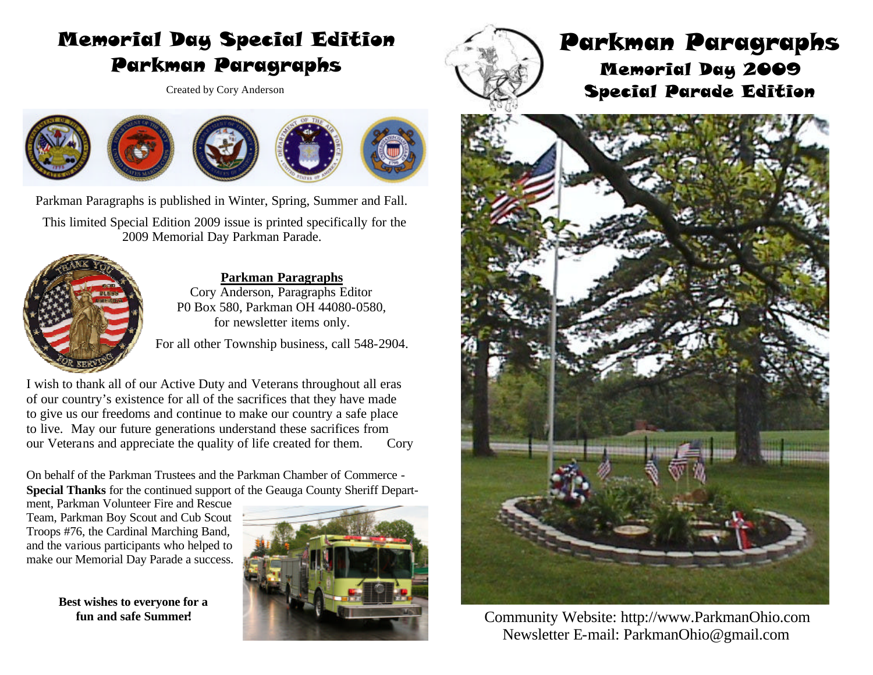# Memorial Day Special Edition Parkman Paragraphs

Created by Cory Anderson



Parkman Paragraphs is published in Winter, Spring, Summer and Fall.

 This limited Special Edition 2009 issue is printed specifically for the 2009 Memorial Day Parkman Parade.



**Parkman Paragraphs**  Cory Anderson, Paragraphs Editor P0 Box 580, Parkman OH 44080-0580, for newsletter items only.

For all other Township business, call 548-2904.

I wish to thank all of our Active Duty and Veterans throughout all eras of our country's existence for all of the sacrifices that they have made to give us our freedoms and continue to make our country a safe place to live. May our future generations understand these sacrifices from our Veterans and appreciate the quality of life created for them. Cory

On behalf of the Parkman Trustees and the Parkman Chamber of Commerce - **Special Thanks** for the continued support of the Geauga County Sheriff Depart-

ment, Parkman Volunteer Fire and Rescue Team, Parkman Boy Scout and Cub Scout Troops #76, the Cardinal Marching Band, and the various participants who helped to make our Memorial Day Parade a success.

> **Best wishes to everyone for a fun and safe Summer!**





## Parkman Paragraphs Memorial Day 2009 Special Parade Edition



Community Website: http://www.ParkmanOhio.com Newsletter E-mail: ParkmanOhio@gmail.com